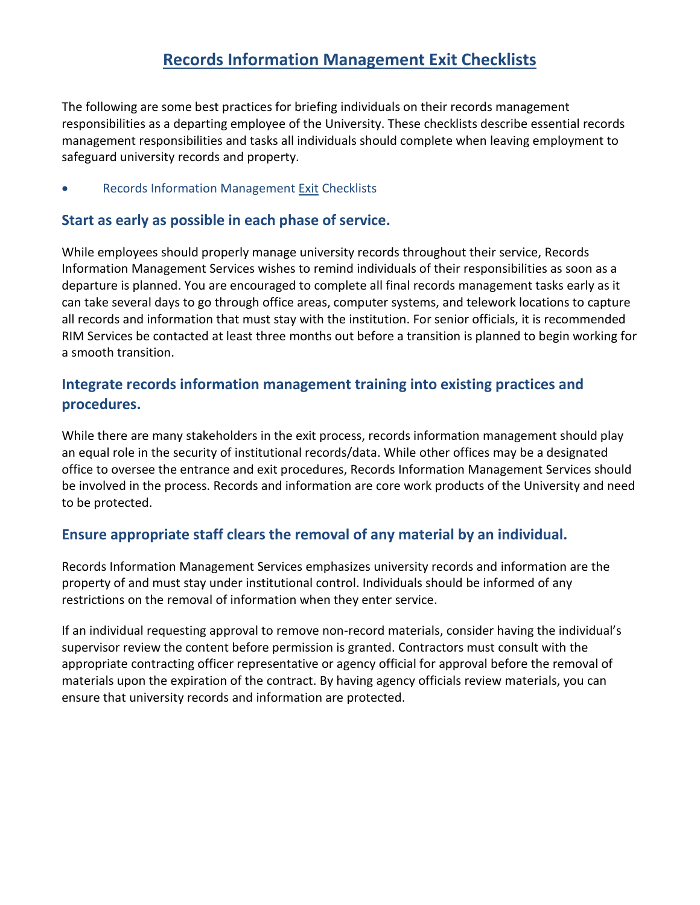### **Records Information Management Exit Checklists**

The following are some best practices for briefing individuals on their records management responsibilities as a departing employee of the University. These checklists describe essential records management responsibilities and tasks all individuals should complete when leaving employment to safeguard university records and property.

Records Information Management Exit Checklists

#### **Start as early as possible in each phase of service.**

While employees should properly manage university records throughout their service, Records Information Management Services wishes to remind individuals of their responsibilities as soon as a departure is planned. You are encouraged to complete all final records management tasks early as it can take several days to go through office areas, computer systems, and telework locations to capture all records and information that must stay with the institution. For senior officials, it is recommended RIM Services be contacted at least three months out before a transition is planned to begin working for a smooth transition.

### **Integrate records information management training into existing practices and procedures.**

While there are many stakeholders in the exit process, records information management should play an equal role in the security of institutional records/data. While other offices may be a designated office to oversee the entrance and exit procedures, Records Information Management Services should be involved in the process. Records and information are core work products of the University and need to be protected.

#### **Ensure appropriate staff clears the removal of any material by an individual.**

Records Information Management Services emphasizes university records and information are the property of and must stay under institutional control. Individuals should be informed of any restrictions on the removal of information when they enter service.

If an individual requesting approval to remove non-record materials, consider having the individual's supervisor review the content before permission is granted. Contractors must consult with the appropriate contracting officer representative or agency official for approval before the removal of materials upon the expiration of the contract. By having agency officials review materials, you can ensure that university records and information are protected.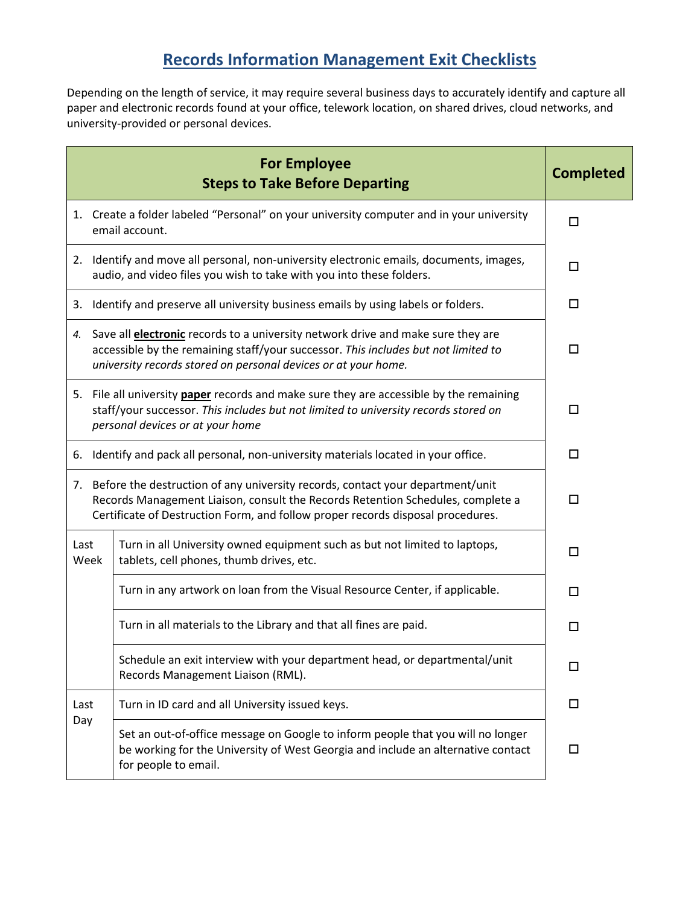# **Records Information Management Exit Checklists**

Depending on the length of service, it may require several business days to accurately identify and capture all paper and electronic records found at your office, telework location, on shared drives, cloud networks, and university-provided or personal devices.

| <b>For Employee</b><br><b>Steps to Take Before Departing</b>                                                                                                                                                                                            |                                                                                                                                                                                                                                                    | <b>Completed</b> |  |  |
|---------------------------------------------------------------------------------------------------------------------------------------------------------------------------------------------------------------------------------------------------------|----------------------------------------------------------------------------------------------------------------------------------------------------------------------------------------------------------------------------------------------------|------------------|--|--|
|                                                                                                                                                                                                                                                         | 1. Create a folder labeled "Personal" on your university computer and in your university<br>email account.                                                                                                                                         | $\Box$           |  |  |
|                                                                                                                                                                                                                                                         | 2. Identify and move all personal, non-university electronic emails, documents, images,<br>audio, and video files you wish to take with you into these folders.                                                                                    | □                |  |  |
| 3.                                                                                                                                                                                                                                                      | Identify and preserve all university business emails by using labels or folders.                                                                                                                                                                   | □                |  |  |
|                                                                                                                                                                                                                                                         | 4. Save all <b>electronic</b> records to a university network drive and make sure they are<br>accessible by the remaining staff/your successor. This includes but not limited to<br>university records stored on personal devices or at your home. |                  |  |  |
|                                                                                                                                                                                                                                                         | 5. File all university paper records and make sure they are accessible by the remaining<br>staff/your successor. This includes but not limited to university records stored on<br>personal devices or at your home                                 |                  |  |  |
| Identify and pack all personal, non-university materials located in your office.<br>6.                                                                                                                                                                  | □                                                                                                                                                                                                                                                  |                  |  |  |
| 7. Before the destruction of any university records, contact your department/unit<br>Records Management Liaison, consult the Records Retention Schedules, complete a<br>Certificate of Destruction Form, and follow proper records disposal procedures. | П.                                                                                                                                                                                                                                                 |                  |  |  |
| Last<br>Week                                                                                                                                                                                                                                            | Turn in all University owned equipment such as but not limited to laptops,<br>tablets, cell phones, thumb drives, etc.                                                                                                                             | □                |  |  |
|                                                                                                                                                                                                                                                         | Turn in any artwork on loan from the Visual Resource Center, if applicable.                                                                                                                                                                        | □                |  |  |
|                                                                                                                                                                                                                                                         | Turn in all materials to the Library and that all fines are paid.                                                                                                                                                                                  | □                |  |  |
|                                                                                                                                                                                                                                                         | Schedule an exit interview with your department head, or departmental/unit<br>Records Management Liaison (RML).                                                                                                                                    | $\Box$           |  |  |
| Last                                                                                                                                                                                                                                                    | Turn in ID card and all University issued keys.                                                                                                                                                                                                    | $\Box$           |  |  |
| Day                                                                                                                                                                                                                                                     | Set an out-of-office message on Google to inform people that you will no longer<br>be working for the University of West Georgia and include an alternative contact<br>for people to email.                                                        | 0                |  |  |